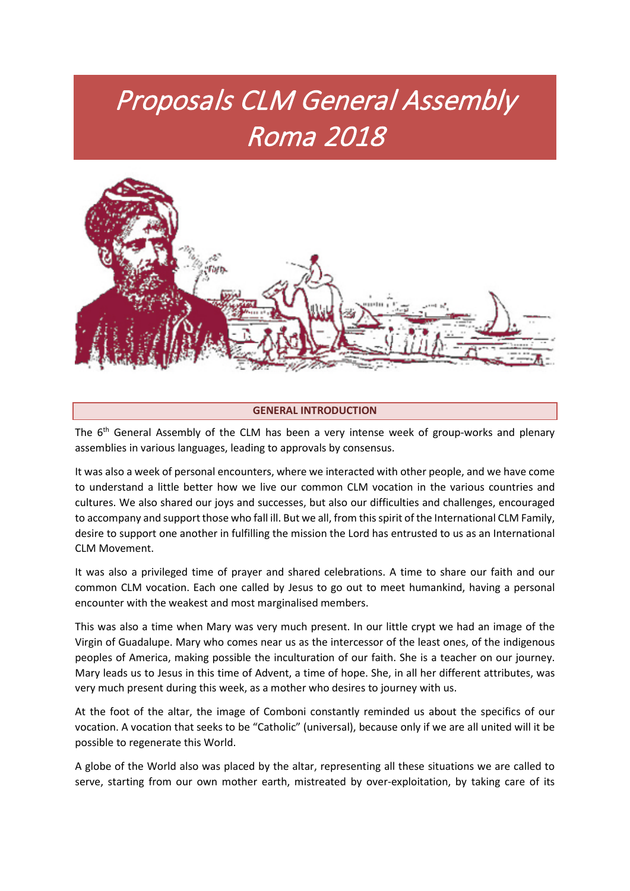# Proposals CLM General Assembly Roma 2018



# **GENERAL INTRODUCTION**

The  $6<sup>th</sup>$  General Assembly of the CLM has been a very intense week of group-works and plenary assemblies in various languages, leading to approvals by consensus.

It was also a week of personal encounters, where we interacted with other people, and we have come to understand a little better how we live our common CLM vocation in the various countries and cultures. We also shared our joys and successes, but also our difficulties and challenges, encouraged to accompany and support those who fall ill. But we all, from this spirit of the International CLM Family, desire to support one another in fulfilling the mission the Lord has entrusted to us as an International CLM Movement.

It was also a privileged time of prayer and shared celebrations. A time to share our faith and our common CLM vocation. Each one called by Jesus to go out to meet humankind, having a personal encounter with the weakest and most marginalised members.

This was also a time when Mary was very much present. In our little crypt we had an image of the Virgin of Guadalupe. Mary who comes near us as the intercessor of the least ones, of the indigenous peoples of America, making possible the inculturation of our faith. She is a teacher on our journey. Mary leads us to Jesus in this time of Advent, a time of hope. She, in all her different attributes, was very much present during this week, as a mother who desires to journey with us.

At the foot of the altar, the image of Comboni constantly reminded us about the specifics of our vocation. A vocation that seeks to be "Catholic" (universal), because only if we are all united will it be possible to regenerate this World.

A globe of the World also was placed by the altar, representing all these situations we are called to serve, starting from our own mother earth, mistreated by over-exploitation, by taking care of its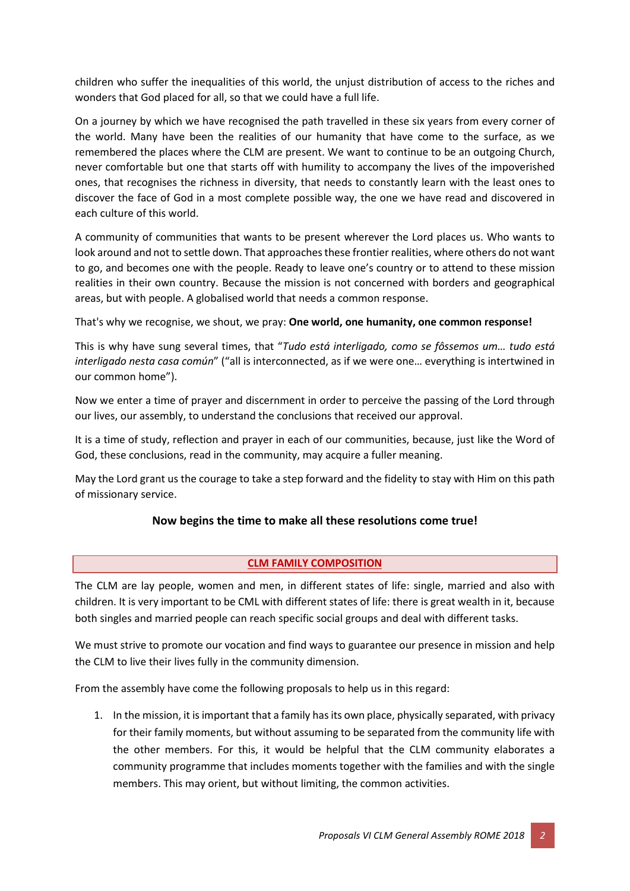children who suffer the inequalities of this world, the unjust distribution of access to the riches and wonders that God placed for all, so that we could have a full life.

On a journey by which we have recognised the path travelled in these six years from every corner of the world. Many have been the realities of our humanity that have come to the surface, as we remembered the places where the CLM are present. We want to continue to be an outgoing Church, never comfortable but one that starts off with humility to accompany the lives of the impoverished ones, that recognises the richness in diversity, that needs to constantly learn with the least ones to discover the face of God in a most complete possible way, the one we have read and discovered in each culture of this world.

A community of communities that wants to be present wherever the Lord places us. Who wants to look around and not to settle down. That approaches these frontier realities, where others do not want to go, and becomes one with the people. Ready to leave one's country or to attend to these mission realities in their own country. Because the mission is not concerned with borders and geographical areas, but with people. A globalised world that needs a common response.

That's why we recognise, we shout, we pray: **One world, one humanity, one common response!**

This is why have sung several times, that "*Tudo está interligado, como se fôssemos um… tudo está interligado nesta casa común*" ("all is interconnected, as if we were one… everything is intertwined in our common home").

Now we enter a time of prayer and discernment in order to perceive the passing of the Lord through our lives, our assembly, to understand the conclusions that received our approval.

It is a time of study, reflection and prayer in each of our communities, because, just like the Word of God, these conclusions, read in the community, may acquire a fuller meaning.

May the Lord grant us the courage to take a step forward and the fidelity to stay with Him on this path of missionary service.

# **Now begins the time to make all these resolutions come true!**

# **CLM FAMILY COMPOSITION**

The CLM are lay people, women and men, in different states of life: single, married and also with children. It is very important to be CML with different states of life: there is great wealth in it, because both singles and married people can reach specific social groups and deal with different tasks.

We must strive to promote our vocation and find ways to guarantee our presence in mission and help the CLM to live their lives fully in the community dimension.

From the assembly have come the following proposals to help us in this regard:

1. In the mission, it is important that a family has its own place, physically separated, with privacy for their family moments, but without assuming to be separated from the community life with the other members. For this, it would be helpful that the CLM community elaborates a community programme that includes moments together with the families and with the single members. This may orient, but without limiting, the common activities.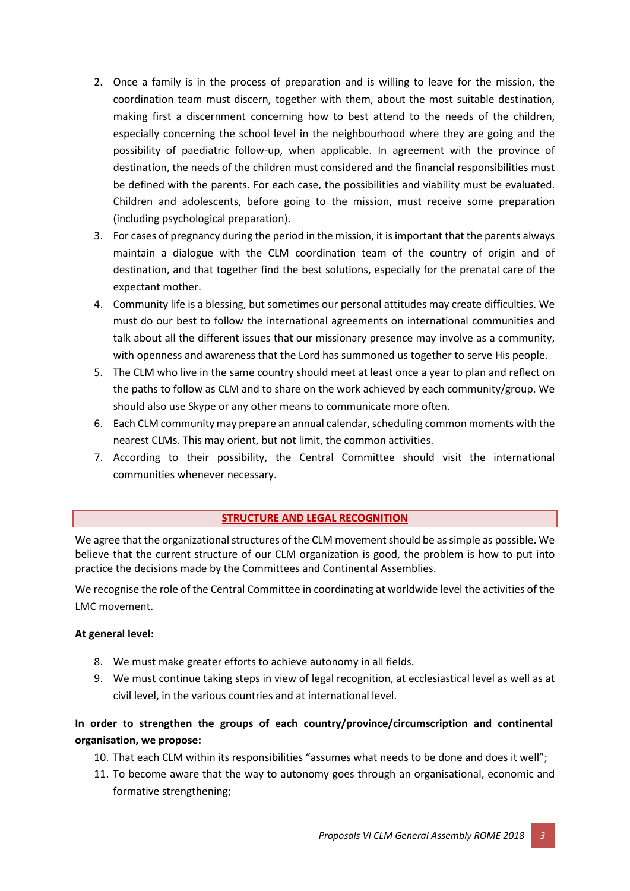- 2. Once a family is in the process of preparation and is willing to leave for the mission, the coordination team must discern, together with them, about the most suitable destination, making first a discernment concerning how to best attend to the needs of the children, especially concerning the school level in the neighbourhood where they are going and the possibility of paediatric follow-up, when applicable. In agreement with the province of destination, the needs of the children must considered and the financial responsibilities must be defined with the parents. For each case, the possibilities and viability must be evaluated. Children and adolescents, before going to the mission, must receive some preparation (including psychological preparation).
- 3. For cases of pregnancy during the period in the mission, it is important that the parents always maintain a dialogue with the CLM coordination team of the country of origin and of destination, and that together find the best solutions, especially for the prenatal care of the expectant mother.
- 4. Community life is a blessing, but sometimes our personal attitudes may create difficulties. We must do our best to follow the international agreements on international communities and talk about all the different issues that our missionary presence may involve as a community, with openness and awareness that the Lord has summoned us together to serve His people.
- 5. The CLM who live in the same country should meet at least once a year to plan and reflect on the paths to follow as CLM and to share on the work achieved by each community/group. We should also use Skype or any other means to communicate more often.
- 6. Each CLM community may prepare an annual calendar, scheduling common moments with the nearest CLMs. This may orient, but not limit, the common activities.
- 7. According to their possibility, the Central Committee should visit the international communities whenever necessary.

# **STRUCTURE AND LEGAL RECOGNITION**

We agree that the organizational structures of the CLM movement should be as simple as possible. We believe that the current structure of our CLM organization is good, the problem is how to put into practice the decisions made by the Committees and Continental Assemblies.

We recognise the role of the Central Committee in coordinating at worldwide level the activities of the LMC movement.

# **At general level:**

- 8. We must make greater efforts to achieve autonomy in all fields.
- 9. We must continue taking steps in view of legal recognition, at ecclesiastical level as well as at civil level, in the various countries and at international level.

# **In order to strengthen the groups of each country/province/circumscription and continental organisation, we propose:**

- 10. That each CLM within its responsibilities "assumes what needs to be done and does it well";
- 11. To become aware that the way to autonomy goes through an organisational, economic and formative strengthening;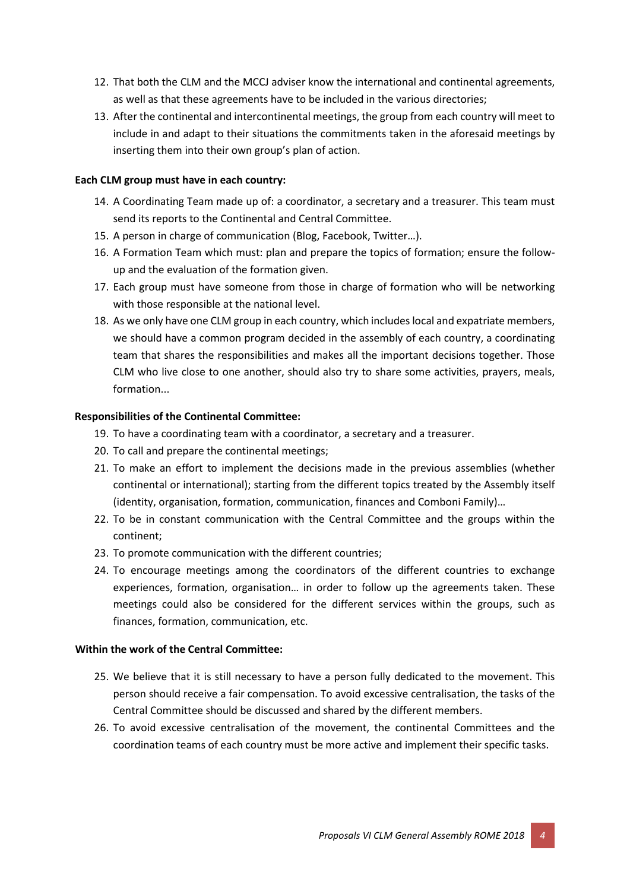- 12. That both the CLM and the MCCJ adviser know the international and continental agreements, as well as that these agreements have to be included in the various directories;
- 13. After the continental and intercontinental meetings, the group from each country will meet to include in and adapt to their situations the commitments taken in the aforesaid meetings by inserting them into their own group's plan of action.

# **Each CLM group must have in each country:**

- 14. A Coordinating Team made up of: a coordinator, a secretary and a treasurer. This team must send its reports to the Continental and Central Committee.
- 15. A person in charge of communication (Blog, Facebook, Twitter…).
- 16. A Formation Team which must: plan and prepare the topics of formation; ensure the followup and the evaluation of the formation given.
- 17. Each group must have someone from those in charge of formation who will be networking with those responsible at the national level.
- 18. As we only have one CLM group in each country, which includes local and expatriate members, we should have a common program decided in the assembly of each country, a coordinating team that shares the responsibilities and makes all the important decisions together. Those CLM who live close to one another, should also try to share some activities, prayers, meals, formation...

# **Responsibilities of the Continental Committee:**

- 19. To have a coordinating team with a coordinator, a secretary and a treasurer.
- 20. To call and prepare the continental meetings;
- 21. To make an effort to implement the decisions made in the previous assemblies (whether continental or international); starting from the different topics treated by the Assembly itself (identity, organisation, formation, communication, finances and Comboni Family)…
- 22. To be in constant communication with the Central Committee and the groups within the continent;
- 23. To promote communication with the different countries;
- 24. To encourage meetings among the coordinators of the different countries to exchange experiences, formation, organisation… in order to follow up the agreements taken. These meetings could also be considered for the different services within the groups, such as finances, formation, communication, etc.

# **Within the work of the Central Committee:**

- 25. We believe that it is still necessary to have a person fully dedicated to the movement. This person should receive a fair compensation. To avoid excessive centralisation, the tasks of the Central Committee should be discussed and shared by the different members.
- 26. To avoid excessive centralisation of the movement, the continental Committees and the coordination teams of each country must be more active and implement their specific tasks.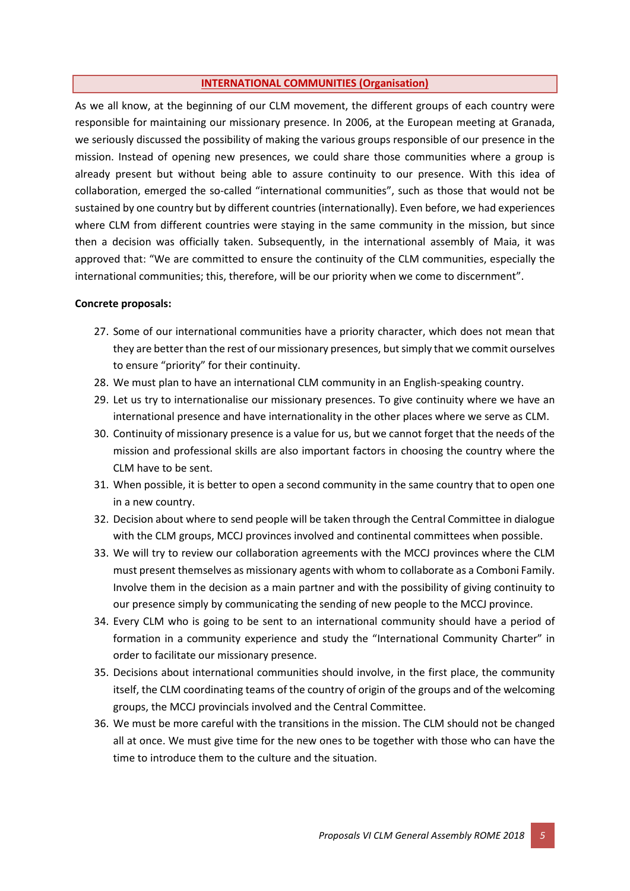#### **INTERNATIONAL COMMUNITIES (Organisation)**

As we all know, at the beginning of our CLM movement, the different groups of each country were responsible for maintaining our missionary presence. In 2006, at the European meeting at Granada, we seriously discussed the possibility of making the various groups responsible of our presence in the mission. Instead of opening new presences, we could share those communities where a group is already present but without being able to assure continuity to our presence. With this idea of collaboration, emerged the so-called "international communities", such as those that would not be sustained by one country but by different countries (internationally). Even before, we had experiences where CLM from different countries were staying in the same community in the mission, but since then a decision was officially taken. Subsequently, in the international assembly of Maia, it was approved that: "We are committed to ensure the continuity of the CLM communities, especially the international communities; this, therefore, will be our priority when we come to discernment".

#### **Concrete proposals:**

- 27. Some of our international communities have a priority character, which does not mean that they are better than the rest of our missionary presences, but simply that we commit ourselves to ensure "priority" for their continuity.
- 28. We must plan to have an international CLM community in an English-speaking country.
- 29. Let us try to internationalise our missionary presences. To give continuity where we have an international presence and have internationality in the other places where we serve as CLM.
- 30. Continuity of missionary presence is a value for us, but we cannot forget that the needs of the mission and professional skills are also important factors in choosing the country where the CLM have to be sent.
- 31. When possible, it is better to open a second community in the same country that to open one in a new country.
- 32. Decision about where to send people will be taken through the Central Committee in dialogue with the CLM groups, MCCJ provinces involved and continental committees when possible.
- 33. We will try to review our collaboration agreements with the MCCJ provinces where the CLM must present themselves as missionary agents with whom to collaborate as a Comboni Family. Involve them in the decision as a main partner and with the possibility of giving continuity to our presence simply by communicating the sending of new people to the MCCJ province.
- 34. Every CLM who is going to be sent to an international community should have a period of formation in a community experience and study the "International Community Charter" in order to facilitate our missionary presence.
- 35. Decisions about international communities should involve, in the first place, the community itself, the CLM coordinating teams of the country of origin of the groups and of the welcoming groups, the MCCJ provincials involved and the Central Committee.
- 36. We must be more careful with the transitions in the mission. The CLM should not be changed all at once. We must give time for the new ones to be together with those who can have the time to introduce them to the culture and the situation.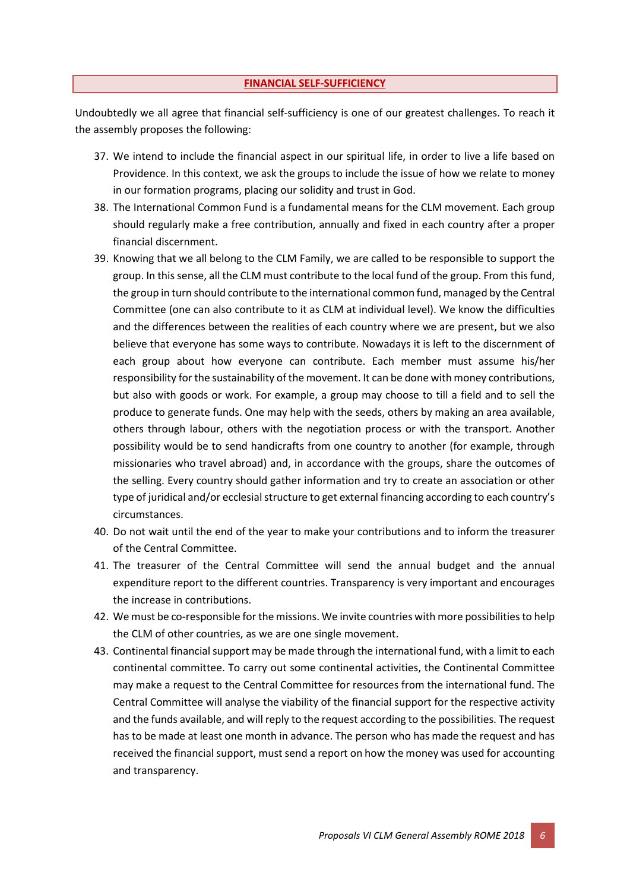## **FINANCIAL SELF-SUFFICIENCY**

Undoubtedly we all agree that financial self-sufficiency is one of our greatest challenges. To reach it the assembly proposes the following:

- 37. We intend to include the financial aspect in our spiritual life, in order to live a life based on Providence. In this context, we ask the groups to include the issue of how we relate to money in our formation programs, placing our solidity and trust in God.
- 38. The International Common Fund is a fundamental means for the CLM movement. Each group should regularly make a free contribution, annually and fixed in each country after a proper financial discernment.
- 39. Knowing that we all belong to the CLM Family, we are called to be responsible to support the group. In this sense, all the CLM must contribute to the local fund of the group. From this fund, the group in turn should contribute to the international common fund, managed by the Central Committee (one can also contribute to it as CLM at individual level). We know the difficulties and the differences between the realities of each country where we are present, but we also believe that everyone has some ways to contribute. Nowadays it is left to the discernment of each group about how everyone can contribute. Each member must assume his/her responsibility for the sustainability of the movement. It can be done with money contributions, but also with goods or work. For example, a group may choose to till a field and to sell the produce to generate funds. One may help with the seeds, others by making an area available, others through labour, others with the negotiation process or with the transport. Another possibility would be to send handicrafts from one country to another (for example, through missionaries who travel abroad) and, in accordance with the groups, share the outcomes of the selling. Every country should gather information and try to create an association or other type of juridical and/or ecclesial structure to get external financing according to each country's circumstances.
- 40. Do not wait until the end of the year to make your contributions and to inform the treasurer of the Central Committee.
- 41. The treasurer of the Central Committee will send the annual budget and the annual expenditure report to the different countries. Transparency is very important and encourages the increase in contributions.
- 42. We must be co-responsible for the missions. We invite countries with more possibilities to help the CLM of other countries, as we are one single movement.
- 43. Continental financial support may be made through the international fund, with a limit to each continental committee. To carry out some continental activities, the Continental Committee may make a request to the Central Committee for resources from the international fund. The Central Committee will analyse the viability of the financial support for the respective activity and the funds available, and will reply to the request according to the possibilities. The request has to be made at least one month in advance. The person who has made the request and has received the financial support, must send a report on how the money was used for accounting and transparency.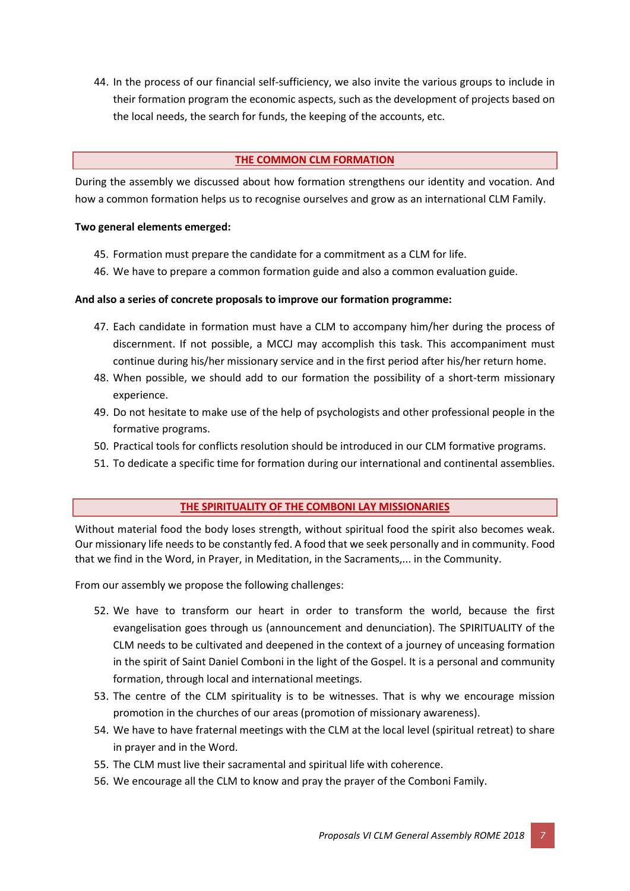44. In the process of our financial self-sufficiency, we also invite the various groups to include in their formation program the economic aspects, such as the development of projects based on the local needs, the search for funds, the keeping of the accounts, etc.

## **THE COMMON CLM FORMATION**

During the assembly we discussed about how formation strengthens our identity and vocation. And how a common formation helps us to recognise ourselves and grow as an international CLM Family.

## **Two general elements emerged:**

- 45. Formation must prepare the candidate for a commitment as a CLM for life.
- 46. We have to prepare a common formation guide and also a common evaluation guide.

# **And also a series of concrete proposals to improve our formation programme:**

- 47. Each candidate in formation must have a CLM to accompany him/her during the process of discernment. If not possible, a MCCJ may accomplish this task. This accompaniment must continue during his/her missionary service and in the first period after his/her return home.
- 48. When possible, we should add to our formation the possibility of a short-term missionary experience.
- 49. Do not hesitate to make use of the help of psychologists and other professional people in the formative programs.
- 50. Practical tools for conflicts resolution should be introduced in our CLM formative programs.
- 51. To dedicate a specific time for formation during our international and continental assemblies.

# **THE SPIRITUALITY OF THE COMBONI LAY MISSIONARIES**

Without material food the body loses strength, without spiritual food the spirit also becomes weak. Our missionary life needs to be constantly fed. A food that we seek personally and in community. Food that we find in the Word, in Prayer, in Meditation, in the Sacraments,... in the Community.

From our assembly we propose the following challenges:

- 52. We have to transform our heart in order to transform the world, because the first evangelisation goes through us (announcement and denunciation). The SPIRITUALITY of the CLM needs to be cultivated and deepened in the context of a journey of unceasing formation in the spirit of Saint Daniel Comboni in the light of the Gospel. It is a personal and community formation, through local and international meetings.
- 53. The centre of the CLM spirituality is to be witnesses. That is why we encourage mission promotion in the churches of our areas (promotion of missionary awareness).
- 54. We have to have fraternal meetings with the CLM at the local level (spiritual retreat) to share in prayer and in the Word.
- 55. The CLM must live their sacramental and spiritual life with coherence.
- 56. We encourage all the CLM to know and pray the prayer of the Comboni Family.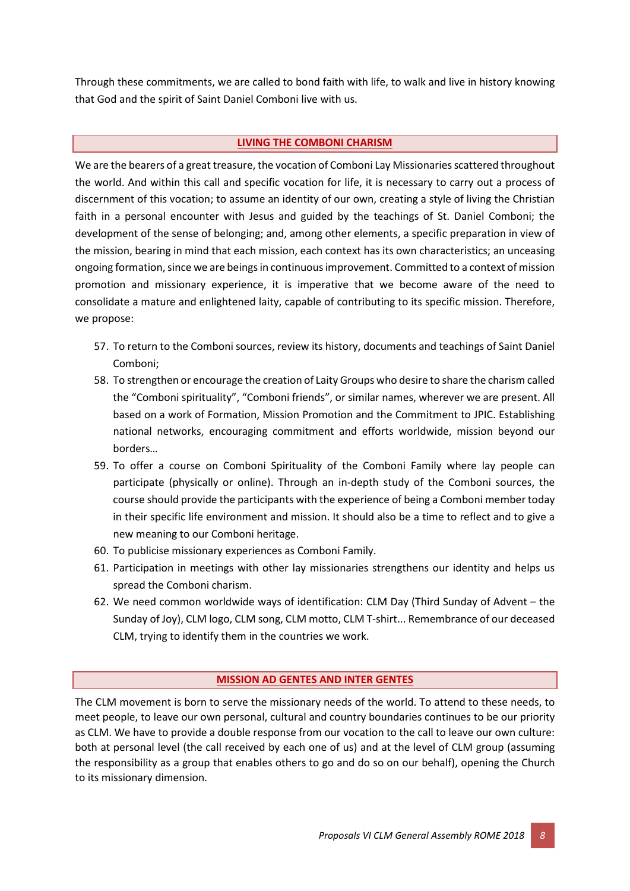Through these commitments, we are called to bond faith with life, to walk and live in history knowing that God and the spirit of Saint Daniel Comboni live with us.

# **LIVING THE COMBONI CHARISM**

We are the bearers of a great treasure, the vocation of Comboni Lay Missionaries scattered throughout the world. And within this call and specific vocation for life, it is necessary to carry out a process of discernment of this vocation; to assume an identity of our own, creating a style of living the Christian faith in a personal encounter with Jesus and guided by the teachings of St. Daniel Comboni; the development of the sense of belonging; and, among other elements, a specific preparation in view of the mission, bearing in mind that each mission, each context has its own characteristics; an unceasing ongoing formation, since we are beings in continuous improvement. Committed to a context of mission promotion and missionary experience, it is imperative that we become aware of the need to consolidate a mature and enlightened laity, capable of contributing to its specific mission. Therefore, we propose:

- 57. To return to the Comboni sources, review its history, documents and teachings of Saint Daniel Comboni;
- 58. To strengthen or encourage the creation of Laity Groups who desire to share the charism called the "Comboni spirituality", "Comboni friends", or similar names, wherever we are present. All based on a work of Formation, Mission Promotion and the Commitment to JPIC. Establishing national networks, encouraging commitment and efforts worldwide, mission beyond our borders…
- 59. To offer a course on Comboni Spirituality of the Comboni Family where lay people can participate (physically or online). Through an in-depth study of the Comboni sources, the course should provide the participants with the experience of being a Comboni member today in their specific life environment and mission. It should also be a time to reflect and to give a new meaning to our Comboni heritage.
- 60. To publicise missionary experiences as Comboni Family.
- 61. Participation in meetings with other lay missionaries strengthens our identity and helps us spread the Comboni charism.
- 62. We need common worldwide ways of identification: CLM Day (Third Sunday of Advent the Sunday of Joy), CLM logo, CLM song, CLM motto, CLM T-shirt... Remembrance of our deceased CLM, trying to identify them in the countries we work.

## **MISSION AD GENTES AND INTER GENTES**

The CLM movement is born to serve the missionary needs of the world. To attend to these needs, to meet people, to leave our own personal, cultural and country boundaries continues to be our priority as CLM. We have to provide a double response from our vocation to the call to leave our own culture: both at personal level (the call received by each one of us) and at the level of CLM group (assuming the responsibility as a group that enables others to go and do so on our behalf), opening the Church to its missionary dimension.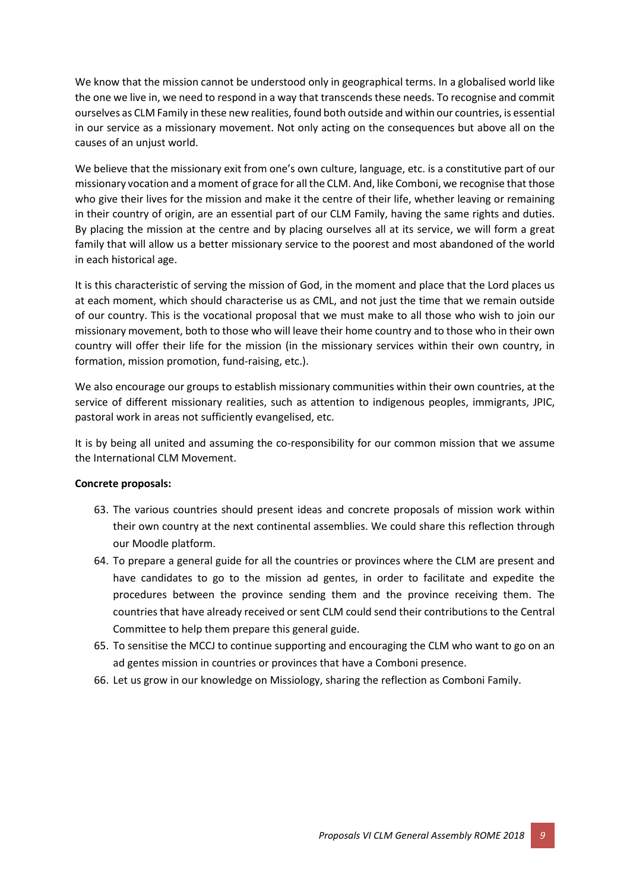We know that the mission cannot be understood only in geographical terms. In a globalised world like the one we live in, we need to respond in a way that transcends these needs. To recognise and commit ourselves as CLM Family in these new realities, found both outside and within our countries, is essential in our service as a missionary movement. Not only acting on the consequences but above all on the causes of an unjust world.

We believe that the missionary exit from one's own culture, language, etc. is a constitutive part of our missionary vocation and a moment of grace for all the CLM. And, like Comboni, we recognise that those who give their lives for the mission and make it the centre of their life, whether leaving or remaining in their country of origin, are an essential part of our CLM Family, having the same rights and duties. By placing the mission at the centre and by placing ourselves all at its service, we will form a great family that will allow us a better missionary service to the poorest and most abandoned of the world in each historical age.

It is this characteristic of serving the mission of God, in the moment and place that the Lord places us at each moment, which should characterise us as CML, and not just the time that we remain outside of our country. This is the vocational proposal that we must make to all those who wish to join our missionary movement, both to those who will leave their home country and to those who in their own country will offer their life for the mission (in the missionary services within their own country, in formation, mission promotion, fund-raising, etc.).

We also encourage our groups to establish missionary communities within their own countries, at the service of different missionary realities, such as attention to indigenous peoples, immigrants, JPIC, pastoral work in areas not sufficiently evangelised, etc.

It is by being all united and assuming the co-responsibility for our common mission that we assume the International CLM Movement.

## **Concrete proposals:**

- 63. The various countries should present ideas and concrete proposals of mission work within their own country at the next continental assemblies. We could share this reflection through our Moodle platform.
- 64. To prepare a general guide for all the countries or provinces where the CLM are present and have candidates to go to the mission ad gentes, in order to facilitate and expedite the procedures between the province sending them and the province receiving them. The countries that have already received or sent CLM could send their contributions to the Central Committee to help them prepare this general guide.
- 65. To sensitise the MCCJ to continue supporting and encouraging the CLM who want to go on an ad gentes mission in countries or provinces that have a Comboni presence.
- 66. Let us grow in our knowledge on Missiology, sharing the reflection as Comboni Family.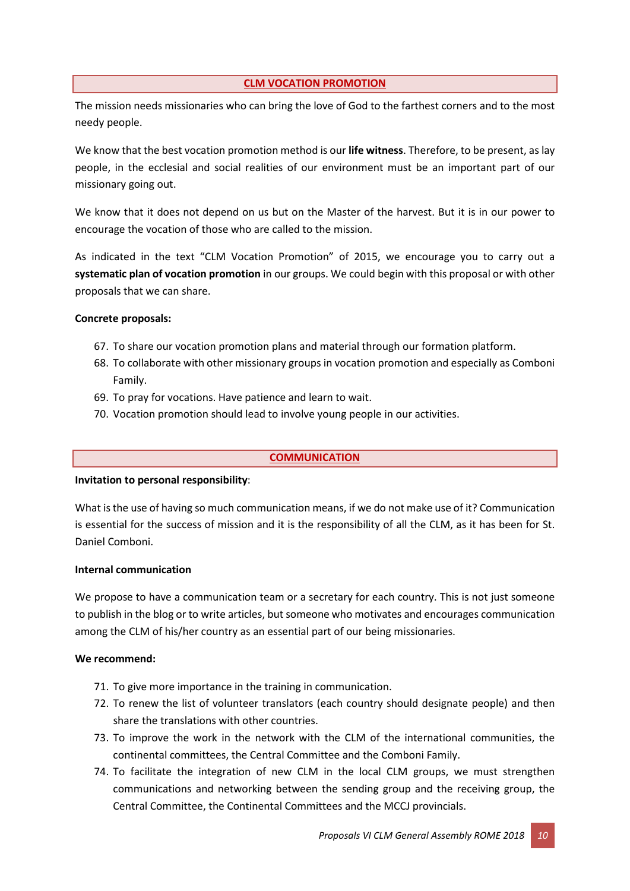## **CLM VOCATION PROMOTION**

The mission needs missionaries who can bring the love of God to the farthest corners and to the most needy people.

We know that the best vocation promotion method is our **life witness**. Therefore, to be present, as lay people, in the ecclesial and social realities of our environment must be an important part of our missionary going out.

We know that it does not depend on us but on the Master of the harvest. But it is in our power to encourage the vocation of those who are called to the mission.

As indicated in the text "CLM Vocation Promotion" of 2015, we encourage you to carry out a **systematic plan of vocation promotion** in our groups. We could begin with this proposal or with other proposals that we can share.

# **Concrete proposals:**

- 67. To share our vocation promotion plans and material through our formation platform.
- 68. To collaborate with other missionary groups in vocation promotion and especially as Comboni Family.
- 69. To pray for vocations. Have patience and learn to wait.
- 70. Vocation promotion should lead to involve young people in our activities.

## **COMMUNICATION**

## **Invitation to personal responsibility**:

What is the use of having so much communication means, if we do not make use of it? Communication is essential for the success of mission and it is the responsibility of all the CLM, as it has been for St. Daniel Comboni.

## **Internal communication**

We propose to have a communication team or a secretary for each country. This is not just someone to publish in the blog or to write articles, but someone who motivates and encourages communication among the CLM of his/her country as an essential part of our being missionaries.

## **We recommend:**

- 71. To give more importance in the training in communication.
- 72. To renew the list of volunteer translators (each country should designate people) and then share the translations with other countries.
- 73. To improve the work in the network with the CLM of the international communities, the continental committees, the Central Committee and the Comboni Family.
- 74. To facilitate the integration of new CLM in the local CLM groups, we must strengthen communications and networking between the sending group and the receiving group, the Central Committee, the Continental Committees and the MCCJ provincials.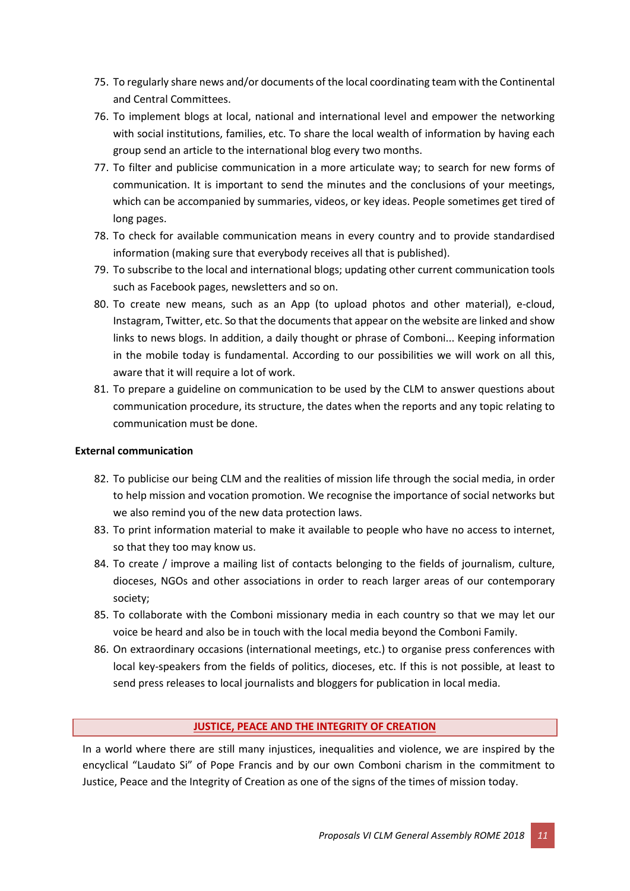- 75. To regularly share news and/or documents of the local coordinating team with the Continental and Central Committees.
- 76. To implement blogs at local, national and international level and empower the networking with social institutions, families, etc. To share the local wealth of information by having each group send an article to the international blog every two months.
- 77. To filter and publicise communication in a more articulate way; to search for new forms of communication. It is important to send the minutes and the conclusions of your meetings, which can be accompanied by summaries, videos, or key ideas. People sometimes get tired of long pages.
- 78. To check for available communication means in every country and to provide standardised information (making sure that everybody receives all that is published).
- 79. To subscribe to the local and international blogs; updating other current communication tools such as Facebook pages, newsletters and so on.
- 80. To create new means, such as an App (to upload photos and other material), e-cloud, Instagram, Twitter, etc. So that the documents that appear on the website are linked and show links to news blogs. In addition, a daily thought or phrase of Comboni... Keeping information in the mobile today is fundamental. According to our possibilities we will work on all this, aware that it will require a lot of work.
- 81. To prepare a guideline on communication to be used by the CLM to answer questions about communication procedure, its structure, the dates when the reports and any topic relating to communication must be done.

# **External communication**

- 82. To publicise our being CLM and the realities of mission life through the social media, in order to help mission and vocation promotion. We recognise the importance of social networks but we also remind you of the new data protection laws.
- 83. To print information material to make it available to people who have no access to internet, so that they too may know us.
- 84. To create / improve a mailing list of contacts belonging to the fields of journalism, culture, dioceses, NGOs and other associations in order to reach larger areas of our contemporary society;
- 85. To collaborate with the Comboni missionary media in each country so that we may let our voice be heard and also be in touch with the local media beyond the Comboni Family.
- 86. On extraordinary occasions (international meetings, etc.) to organise press conferences with local key-speakers from the fields of politics, dioceses, etc. If this is not possible, at least to send press releases to local journalists and bloggers for publication in local media.

# **JUSTICE, PEACE AND THE INTEGRITY OF CREATION**

In a world where there are still many injustices, inequalities and violence, we are inspired by the encyclical "Laudato Si" of Pope Francis and by our own Comboni charism in the commitment to Justice, Peace and the Integrity of Creation as one of the signs of the times of mission today.